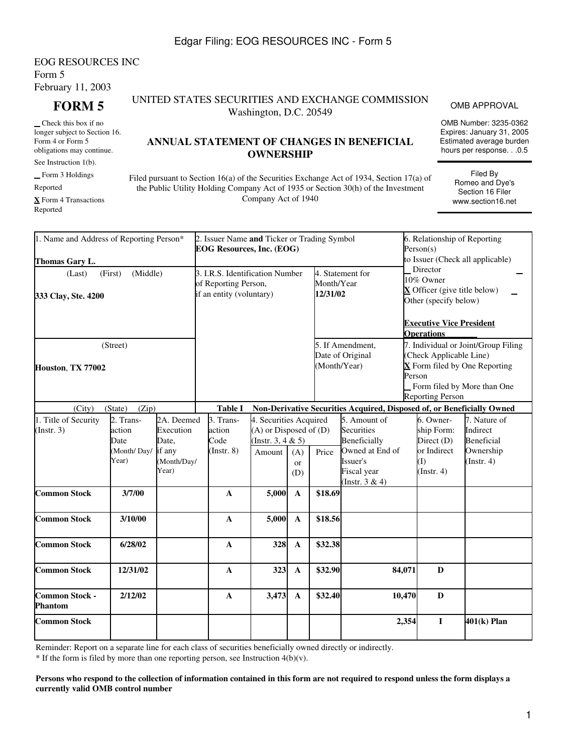## Edgar Filing: EOG RESOURCES INC - Form 5

## EOG RESOURCES INC Form 5 February 11, 2003

 Check this box if no longer subject to Section 16. Form 4 or Form 5 obligations may continue.

See Instruction 1(b).

Form 3 Holdings

Reported

**X** Form 4 Transactions Reported

### **FORM 5** UNITED STATES SECURITIES AND EXCHANGE COMMISSION UNITIES AND EXCHANGE COMMISSION OMB APPROVAL<br>Washington, D.C. 20549

# **ANNUAL STATEMENT OF CHANGES IN BENEFICIAL OWNERSHIP**

Filed pursuant to Section 16(a) of the Securities Exchange Act of 1934, Section 17(a) of the Public Utility Holding Company Act of 1935 or Section 30(h) of the Investment Company Act of 1940

| 1. Name and Address of Reporting Person*        |                                                     |                                                                                     | 2. Issuer Name and Ticker or Trading Symbol<br><b>EOG Resources, Inc. (EOG)</b> |                                                                                 |                                      | 6. Relationship of Reporting<br>Person(s)                                         |                                                                                                                                                              |                                                                            |                                                                                |  |
|-------------------------------------------------|-----------------------------------------------------|-------------------------------------------------------------------------------------|---------------------------------------------------------------------------------|---------------------------------------------------------------------------------|--------------------------------------|-----------------------------------------------------------------------------------|--------------------------------------------------------------------------------------------------------------------------------------------------------------|----------------------------------------------------------------------------|--------------------------------------------------------------------------------|--|
| Thomas Gary L.<br>(Last)<br>333 Clay, Ste. 4200 | (Middle)<br>(First)                                 | 3. I.R.S. Identification Number<br>of Reporting Person,<br>if an entity (voluntary) |                                                                                 |                                                                                 | Month/Year<br>12/31/02               | 4. Statement for                                                                  | to Issuer (Check all applicable)<br>Director<br>10% Owner<br>$\bf{X}$ Officer (give title below)<br>Other (specify below)<br><b>Executive Vice President</b> |                                                                            |                                                                                |  |
| (Street)<br>Houston, TX 77002                   |                                                     |                                                                                     |                                                                                 | (Month/Year)                                                                    | 5. If Amendment,<br>Date of Original | <b>Operations</b><br>(Check Applicable Line)<br>Person<br><b>Reporting Person</b> | 7. Individual or Joint/Group Filing<br>$\overline{\mathbf{X}}$ Form filed by One Reporting<br>Form filed by More than One                                    |                                                                            |                                                                                |  |
| (City)                                          | (Zip)<br>(State)                                    |                                                                                     | <b>Table I</b>                                                                  |                                                                                 |                                      |                                                                                   | Non-Derivative Securities Acquired, Disposed of, or Beneficially Owned                                                                                       |                                                                            |                                                                                |  |
| 1. Title of Security<br>(Insert. 3)             | 2. Trans-<br>action<br>Date<br>(Month/Day/<br>Year) | 2A. Deemed<br>Execution<br>Date,<br>if any<br>(Month/Day/<br>Year)                  | 3. Trans-<br>action<br>Code<br>$($ Instr. $8)$                                  | 4. Securities Acquired<br>(A) or Disposed of (D)<br>(Instr. 3, 4 & 5)<br>Amount | (A)<br>or<br>(D)                     | Price                                                                             | 5. Amount of<br>Securities<br>Beneficially<br>Owned at End of<br>Issuer's<br>Fiscal year<br>(Instr. $3 & 4$ )                                                | 6. Owner-<br>ship Form:<br>Direct (D)<br>or Indirect<br>(I)<br>(Insert, 4) | 7. Nature of<br>Indirect<br><b>Beneficial</b><br>Ownership<br>$($ Instr. 4 $)$ |  |
| <b>Common Stock</b>                             | 3/7/00                                              |                                                                                     | $\mathbf A$                                                                     | 5,000                                                                           | $\mathbf{A}$                         | \$18.69                                                                           |                                                                                                                                                              |                                                                            |                                                                                |  |
| <b>Common Stock</b>                             | 3/10/00                                             |                                                                                     | $\mathbf{A}$                                                                    | 5,000                                                                           | $\mathbf{A}$                         | \$18.56                                                                           |                                                                                                                                                              |                                                                            |                                                                                |  |
| <b>Common Stock</b>                             | 6/28/02                                             |                                                                                     | $\mathbf{A}$                                                                    | 328                                                                             | $\mathbf{A}$                         | \$32.38                                                                           |                                                                                                                                                              |                                                                            |                                                                                |  |
| <b>Common Stock</b>                             | 12/31/02                                            |                                                                                     | $\mathbf A$                                                                     | 323                                                                             | $\mathbf{A}$                         | \$32.90                                                                           | 84,071                                                                                                                                                       | $\mathbf{D}$                                                               |                                                                                |  |
| <b>Common Stock -</b><br><b>Phantom</b>         | 2/12/02                                             |                                                                                     | $\mathbf{A}$                                                                    | 3,473                                                                           | $\mathbf{A}$                         | \$32.40                                                                           | 10,470                                                                                                                                                       | D                                                                          |                                                                                |  |
| <b>Common Stock</b>                             |                                                     |                                                                                     |                                                                                 |                                                                                 |                                      |                                                                                   | 2,354                                                                                                                                                        | I                                                                          | 401(k) Plan                                                                    |  |

Reminder: Report on a separate line for each class of securities beneficially owned directly or indirectly.

\* If the form is filed by more than one reporting person, see Instruction 4(b)(v).

**Persons who respond to the collection of information contained in this form are not required to respond unless the form displays a currently valid OMB control number**

OMB Number: 3235-0362 Expires: January 31, 2005 Estimated average burden hours per response. . .0.5

> Filed By Romeo and Dye's Section 16 Filer www.section16.net